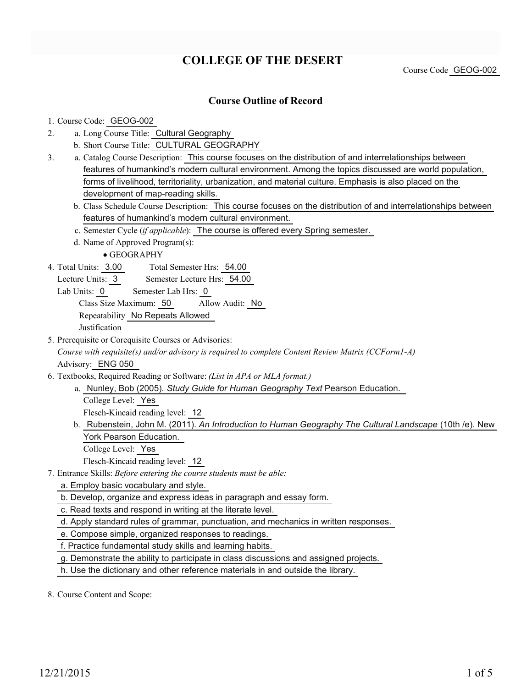## **COLLEGE OF THE DESERT**

Course Code GEOG-002

#### **Course Outline of Record**

1. Course Code: GEOG-002

- a. Long Course Title: Cultural Geography 2.
	- b. Short Course Title: CULTURAL GEOGRAPHY
- Catalog Course Description: This course focuses on the distribution of and interrelationships between a. features of humankind's modern cultural environment. Among the topics discussed are world population, forms of livelihood, territoriality, urbanization, and material culture. Emphasis is also placed on the development of map-reading skills. 3.
	- b. Class Schedule Course Description: This course focuses on the distribution of and interrelationships between features of humankind's modern cultural environment.
	- c. Semester Cycle (*if applicable*): The course is offered every Spring semester.
	- d. Name of Approved Program(s):

GEOGRAPHY

- Total Semester Hrs: 54.00 4. Total Units: 3.00
	- Lecture Units: 3 Semester Lecture Hrs: 54.00

Lab Units: 0 Semester Lab Hrs: 0

Class Size Maximum: 50 Allow Audit: No Repeatability No Repeats Allowed

Justification

5. Prerequisite or Corequisite Courses or Advisories:

*Course with requisite(s) and/or advisory is required to complete Content Review Matrix (CCForm1-A)* Advisory: ENG 050

- Textbooks, Required Reading or Software: *(List in APA or MLA format.)* 6.
	- a. Nunley, Bob (2005). Study Guide for Human Geography Text Pearson Education.

College Level: Yes

Flesch-Kincaid reading level: 12

- b. Rubenstein, John M. (2011). An Introduction to Human Geography The Cultural Landscape (10th /e). New York Pearson Education.
	- College Level: Yes

Flesch-Kincaid reading level: 12

Entrance Skills: *Before entering the course students must be able:* 7.

a. Employ basic vocabulary and style.

b. Develop, organize and express ideas in paragraph and essay form.

c. Read texts and respond in writing at the literate level.

d. Apply standard rules of grammar, punctuation, and mechanics in written responses.

e. Compose simple, organized responses to readings.

f. Practice fundamental study skills and learning habits.

g. Demonstrate the ability to participate in class discussions and assigned projects.

h. Use the dictionary and other reference materials in and outside the library.

8. Course Content and Scope: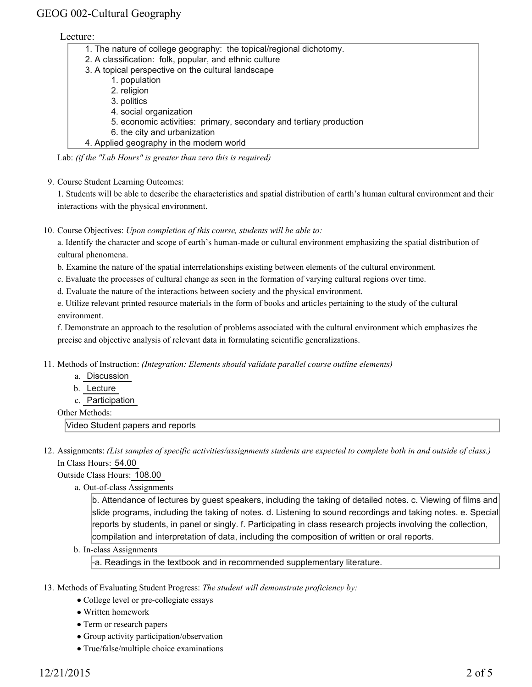#### Lecture:

| 1. The nature of college geography: the topical/regional dichotomy. |
|---------------------------------------------------------------------|
| 2. A classification: folk, popular, and ethnic culture              |
| 3. A topical perspective on the cultural landscape                  |
| 1. population                                                       |
| 2. religion                                                         |
| 3. politics                                                         |
| 4. social organization                                              |
| 5. economic activities: primary, secondary and tertiary production  |
| 6. the city and urbanization                                        |
| 4. Applied geography in the modern world                            |

Lab: *(if the "Lab Hours" is greater than zero this is required)*

9. Course Student Learning Outcomes:

1. Students will be able to describe the characteristics and spatial distribution of earth's human cultural environment and their interactions with the physical environment.

10. Course Objectives: Upon completion of this course, students will be able to:

a. Identify the character and scope of earth's human-made or cultural environment emphasizing the spatial distribution of cultural phenomena.

b. Examine the nature of the spatial interrelationships existing between elements of the cultural environment.

c. Evaluate the processes of cultural change as seen in the formation of varying cultural regions over time.

d. Evaluate the nature of the interactions between society and the physical environment.

e. Utilize relevant printed resource materials in the form of books and articles pertaining to the study of the cultural environment.

f. Demonstrate an approach to the resolution of problems associated with the cultural environment which emphasizes the precise and objective analysis of relevant data in formulating scientific generalizations.

- Methods of Instruction: *(Integration: Elements should validate parallel course outline elements)* 11.
	- a. Discussion
	- b. Lecture
	- c. Participation

Other Methods:

Video Student papers and reports

12. Assignments: (List samples of specific activities/assignments students are expected to complete both in and outside of class.) In Class Hours: 54.00

Outside Class Hours: 108.00

a. Out-of-class Assignments

b. Attendance of lectures by guest speakers, including the taking of detailed notes. c. Viewing of films and slide programs, including the taking of notes. d. Listening to sound recordings and taking notes. e. Special reports by students, in panel or singly. f. Participating in class research projects involving the collection, compilation and interpretation of data, including the composition of written or oral reports.

b. In-class Assignments

-a. Readings in the textbook and in recommended supplementary literature.

- 13. Methods of Evaluating Student Progress: The student will demonstrate proficiency by:
	- College level or pre-collegiate essays
	- Written homework
	- Term or research papers
	- Group activity participation/observation
	- True/false/multiple choice examinations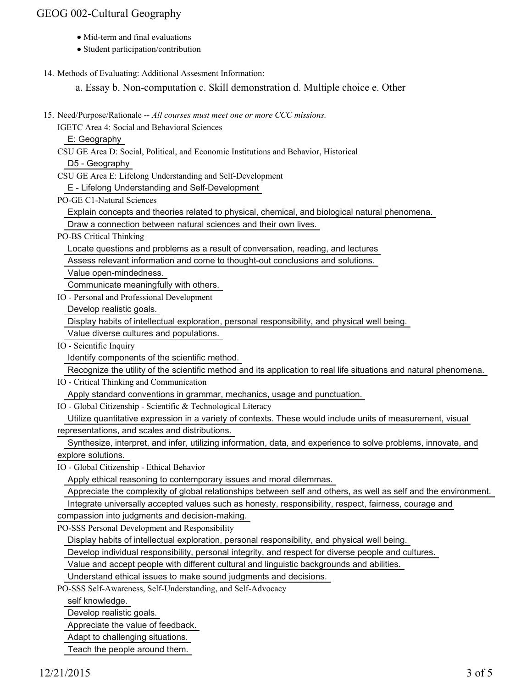- Mid-term and final evaluations
- Student participation/contribution
- 14. Methods of Evaluating: Additional Assesment Information:

a. Essay b. Non-computation c. Skill demonstration d. Multiple choice e. Other

15. Need/Purpose/Rationale -- All courses must meet one or more CCC missions.

IGETC Area 4: Social and Behavioral Sciences

E: Geography

CSU GE Area D: Social, Political, and Economic Institutions and Behavior, Historical

D5 - Geography

CSU GE Area E: Lifelong Understanding and Self-Development

E - Lifelong Understanding and Self-Development

PO-GE C1-Natural Sciences

Explain concepts and theories related to physical, chemical, and biological natural phenomena.

Draw a connection between natural sciences and their own lives.

PO-BS Critical Thinking

Locate questions and problems as a result of conversation, reading, and lectures

Assess relevant information and come to thought-out conclusions and solutions.

Value open-mindedness.

Communicate meaningfully with others.

IO - Personal and Professional Development

Develop realistic goals.

 Display habits of intellectual exploration, personal responsibility, and physical well being. Value diverse cultures and populations.

IO - Scientific Inquiry

Identify components of the scientific method.

Recognize the utility of the scientific method and its application to real life situations and natural phenomena.

IO - Critical Thinking and Communication

Apply standard conventions in grammar, mechanics, usage and punctuation.

IO - Global Citizenship - Scientific & Technological Literacy

 Utilize quantitative expression in a variety of contexts. These would include units of measurement, visual representations, and scales and distributions.

Synthesize, interpret, and infer, utilizing information, data, and experience to solve problems, innovate, and

explore solutions.

IO - Global Citizenship - Ethical Behavior

Apply ethical reasoning to contemporary issues and moral dilemmas.

Appreciate the complexity of global relationships between self and others, as well as self and the environment.

Integrate universally accepted values such as honesty, responsibility, respect, fairness, courage and

compassion into judgments and decision-making.

PO-SSS Personal Development and Responsibility

Display habits of intellectual exploration, personal responsibility, and physical well being.

Develop individual responsibility, personal integrity, and respect for diverse people and cultures.

Value and accept people with different cultural and linguistic backgrounds and abilities.

Understand ethical issues to make sound judgments and decisions.

PO-SSS Self-Awareness, Self-Understanding, and Self-Advocacy

self knowledge.

Develop realistic goals.

Appreciate the value of feedback.

Adapt to challenging situations.

Teach the people around them.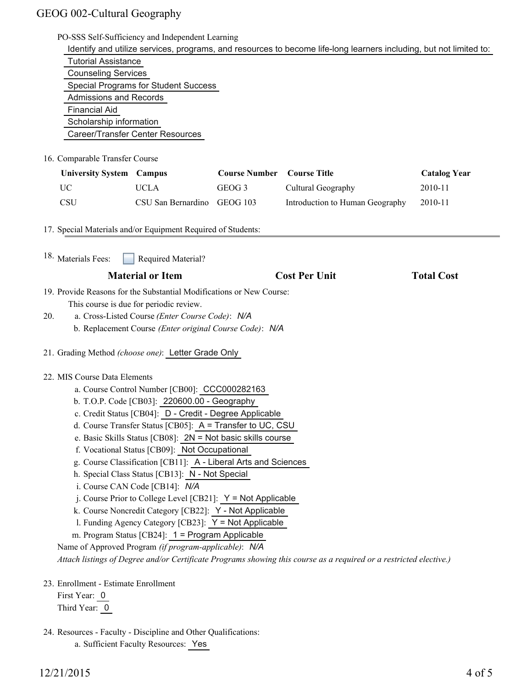|                                                                                                                    |                                                                |                      | Identify and utilize services, programs, and resources to become life-long learners including, but not limited to: |                     |
|--------------------------------------------------------------------------------------------------------------------|----------------------------------------------------------------|----------------------|--------------------------------------------------------------------------------------------------------------------|---------------------|
| <b>Tutorial Assistance</b>                                                                                         |                                                                |                      |                                                                                                                    |                     |
| <b>Counseling Services</b>                                                                                         |                                                                |                      |                                                                                                                    |                     |
|                                                                                                                    | <b>Special Programs for Student Success</b>                    |                      |                                                                                                                    |                     |
| <b>Admissions and Records</b>                                                                                      |                                                                |                      |                                                                                                                    |                     |
| Financial Aid                                                                                                      |                                                                |                      |                                                                                                                    |                     |
| Scholarship information                                                                                            |                                                                |                      |                                                                                                                    |                     |
|                                                                                                                    | Career/Transfer Center Resources                               |                      |                                                                                                                    |                     |
| 16. Comparable Transfer Course                                                                                     |                                                                |                      |                                                                                                                    |                     |
| <b>University System Campus</b>                                                                                    |                                                                | <b>Course Number</b> | <b>Course Title</b>                                                                                                | <b>Catalog Year</b> |
| <b>UC</b>                                                                                                          | <b>UCLA</b>                                                    | GEOG <sub>3</sub>    | Cultural Geography                                                                                                 | 2010-11             |
| <b>CSU</b>                                                                                                         | CSU San Bernardino                                             | GEOG 103             | Introduction to Human Geography                                                                                    | 2010-11             |
| 17. Special Materials and/or Equipment Required of Students:                                                       |                                                                |                      |                                                                                                                    |                     |
| 18. Materials Fees:                                                                                                | Required Material?                                             |                      |                                                                                                                    |                     |
|                                                                                                                    | <b>Material or Item</b>                                        |                      | <b>Cost Per Unit</b>                                                                                               | <b>Total Cost</b>   |
| 19. Provide Reasons for the Substantial Modifications or New Course:                                               |                                                                |                      |                                                                                                                    |                     |
|                                                                                                                    | This course is due for periodic review.                        |                      |                                                                                                                    |                     |
| 20.                                                                                                                | a. Cross-Listed Course (Enter Course Code): N/A                |                      |                                                                                                                    |                     |
|                                                                                                                    | b. Replacement Course (Enter original Course Code): N/A        |                      |                                                                                                                    |                     |
| 21. Grading Method (choose one): Letter Grade Only                                                                 |                                                                |                      |                                                                                                                    |                     |
| 22. MIS Course Data Elements                                                                                       |                                                                |                      |                                                                                                                    |                     |
|                                                                                                                    | a. Course Control Number [CB00]: CCC000282163                  |                      |                                                                                                                    |                     |
|                                                                                                                    | b. T.O.P. Code [CB03]: 220600.00 - Geography                   |                      |                                                                                                                    |                     |
|                                                                                                                    | c. Credit Status [CB04]: D - Credit - Degree Applicable        |                      |                                                                                                                    |                     |
|                                                                                                                    | d. Course Transfer Status [CB05]: A = Transfer to UC, CSU      |                      |                                                                                                                    |                     |
|                                                                                                                    | e. Basic Skills Status [CB08]: 2N = Not basic skills course    |                      |                                                                                                                    |                     |
|                                                                                                                    | f. Vocational Status [CB09]: Not Occupational                  |                      |                                                                                                                    |                     |
|                                                                                                                    | g. Course Classification [CB11]: A - Liberal Arts and Sciences |                      |                                                                                                                    |                     |
|                                                                                                                    | h. Special Class Status [CB13]: N - Not Special                |                      |                                                                                                                    |                     |
|                                                                                                                    | i. Course CAN Code [CB14]: N/A                                 |                      |                                                                                                                    |                     |
|                                                                                                                    | j. Course Prior to College Level [CB21]: $Y = Not Applicable$  |                      |                                                                                                                    |                     |
|                                                                                                                    | k. Course Noncredit Category [CB22]: Y - Not Applicable        |                      |                                                                                                                    |                     |
|                                                                                                                    | 1. Funding Agency Category [CB23]: Y = Not Applicable          |                      |                                                                                                                    |                     |
|                                                                                                                    | m. Program Status [CB24]: 1 = Program Applicable               |                      |                                                                                                                    |                     |
|                                                                                                                    | Name of Approved Program (if program-applicable): N/A          |                      |                                                                                                                    |                     |
|                                                                                                                    |                                                                |                      |                                                                                                                    |                     |
| Attach listings of Degree and/or Certificate Programs showing this course as a required or a restricted elective.) |                                                                |                      |                                                                                                                    |                     |
|                                                                                                                    |                                                                |                      |                                                                                                                    |                     |
| 23. Enrollment - Estimate Enrollment<br>First Year: 0                                                              |                                                                |                      |                                                                                                                    |                     |

24. Resources - Faculty - Discipline and Other Qualifications:

a. Sufficient Faculty Resources: Yes